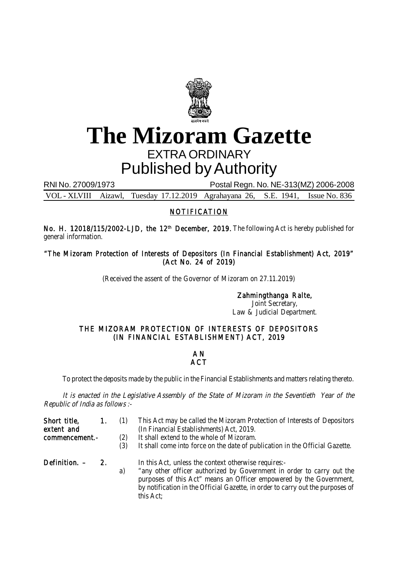

## **The Mizoram Gazette** EXTRA ORDINARY Published by Authority

RNI No. 27009/1973 Postal Regn. No. NE-313(MZ) 2006-2008

VOL - XLVIII Aizawl, Tuesday 17.12.2019 Agrahayana 26, S.E. 1941, Issue No. 836

## NOTIFICATION

No. H. 12018/115/2002-LJD, the 12<sup>th</sup> December, 2019. The following Act is hereby published for general information.

"The Mizoram Protection of Interests of Depositors (In Financial Establishment) Act, 2019" (Act No. 24 of 2019)

(Received the assent of the Governor of Mizoram on 27.11.2019)

Zahmingthanga Ralte, Joint Secretary, Law & Judicial Department.

## THE MIZORAM PROTECTION OF INTERESTS OF DEPOSITORS (IN FINANCIAL ESTABLISHMENT) ACT, 2019

## A N **ACT**

To protect the deposits made by the public in the Financial Establishments and matters relating thereto.

It is enacted in the Legislative Assembly of the State of Mizoram in the Seventieth Year of the Republic of India as follows :-

| Short title,<br>extent and<br>commencement.- | $\mathbf{1}$ . | (2)<br>(3) | This Act may be called the Mizoram Protection of Interests of Depositors<br>(In Financial Establishments) Act, 2019.<br>It shall extend to the whole of Mizoram.<br>It shall come into force on the date of publication in the Official Gazette.                                                    |
|----------------------------------------------|----------------|------------|-----------------------------------------------------------------------------------------------------------------------------------------------------------------------------------------------------------------------------------------------------------------------------------------------------|
| Definition. -                                | 2.             | a)         | In this Act, unless the context otherwise requires:-<br>"any other officer authorized by Government in order to carry out the<br>purposes of this Act" means an Officer empowered by the Government,<br>by notification in the Official Gazette, in order to carry out the purposes of<br>this Act; |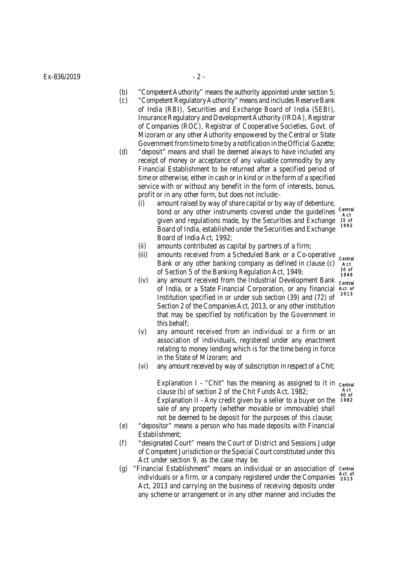$Ex - 836/2019$  - 2 -

- (b) "Competent Authority" means the authority appointed under section 5;
- (c) "Competent Regulatory Authority" means and includes Reserve Bank of India (RBI), Securities and Exchange Board of India (SEBI), Insurance Regulatory and Development Authority (IRDA), Registrar of Companies (ROC), Registrar of Cooperative Societies, Govt. of Mizoram or any other Authority empowered by the Central or State Government from time to time by a notification in the Official Gazette;
- (d) "deposit" means and shall be deemed always to have included any receipt of money or acceptance of any valuable commodity by any Financial Establishment to be returned after a specified period of time or otherwise, either in cash or in kind or in the form of a specified service with or without any benefit in the form of interests, bonus, profit or in any other form, but does not include:-
	- (i) amount raised by way of share capital or by way of debenture, bond or any other instruments covered under the guidelines given and regulations made, by the Securities and Exchange Board of India, established under the Securities and Exchange Board of India Act, 1992; Central Act 15 of 1992
	- (ii) amounts contributed as capital by partners of a firm;
	- (iii) amounts received from a Scheduled Bank or a Co-operative Bank or any other banking company as defined in clause (c) of Section 5 of the Banking Regulation Act, 1949;
	- (iv) any amount received from the Industrial Development Bank of India, or a State Financial Corporation, or any financial Institution specified in or under sub section (39) and (72) of Section 2 of the Companies Act, 2013, or any other institution that may be specified by notification by the Government in this behalf;
	- (v) any amount received from an individual or a firm or an association of individuals, registered under any enactment relating to money lending which is for the time being in force in the State of Mizoram; and
	- (vi) any amount received by way of subscription in respect of a Chit;

Explanation I - "Chit" has the meaning as assigned to it in central clause (b) of section 2 of the Chit Funds Act, 1982; Explanation II - Any credit given by a seller to a buyer on the sale of any property (whether movable or immovable) shall not be deemed to be deposit for the purposes of this clause; Act 40 of 1982

- (e) "depositor" means a person who has made deposits with Financial Establishment;
- (f) "designated Court" means the Court of District and Sessions Judge of Competent Jurisdiction or the Special Court constituted under this Act under section 9, as the case may be.
- (g) "Financial Establishment" means an individual or an association of Central individuals or a firm, or a company registered under the Companies act of Act, 2013 and carrying on the business of receiving deposits under any scheme or arrangement or in any other manner and includes the

Central Act 10 of 1949 Central Act of 2013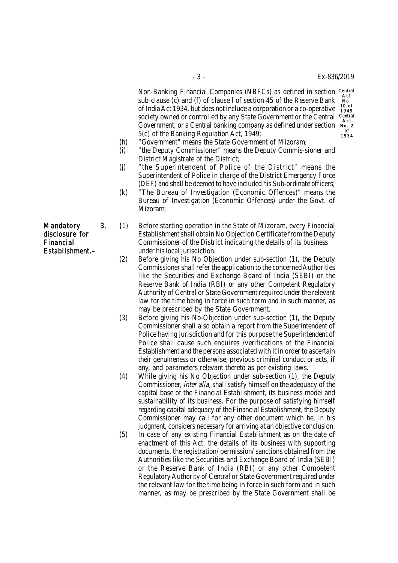Non-Banking Financial Companies (NBFCs) as defined in section Central sub-clause (c) and (f) of clause l of section 45 of the Reserve Bank of India Act 1934, but does not include a corporation or a co-operative society owned or controlled by any State Government or the Central Government, or a Central banking company as defined under section 5(c) of the Banking Regulation Act, 1949; Act No. 10 of 1949 Central Act No. 2 of 1934

- (h) "Government" means the State Government of Mizoram;
- (i) "the Deputy Commissioner" means the Deputy Commis-sioner and District Magistrate of the District;
- (j) "the Superintendent of Police of the District" means the Superintendent of Police in charge of the District Emergency Force (DEF) and shall be deemed to have included his Sub-ordinate officers;
- (k) "The Bureau of Investigation (Economic Offences)" means the Bureau of Investigation (Economic Offences) under the Govt. of Mizoram;

Mandatory 3. (1) Before starting operation in the State of Mizoram, every Financial disclosure for Establishment shall obtain No Obiection Certificate from the Deputy Establishment shall obtain No Objection Certificate from the Deputy Financial Commissioner of the District indicating the details of its business Establishment.– under his local jurisdiction.

- (2) Before giving his No Objection under sub-section (1), the Deputy Commissioner shall refer the application to the concerned Authorities like the Securities and Exchange Board of India (SEBI) or the Reserve Bank of India (RBI) or any other Competent Regulatory Authority of Central or State Government required under the relevant law for the time being in force in such form and in such manner, as may be prescribed by the State Government.
- (3) Before giving his No-Objection under sub-section (1), the Deputy Commissioner shall also obtain a report from the Superintendent of Police having jurisdiction and for this purpose the Superintendent of Police shall cause such enquires /verifications of the Financial Establishment and the persons associated with it in order to ascertain their genuineness or otherwise, previous criminal conduct or acts, if any, and parameters relevant thereto as per existing laws.
- (4) While giving his No Objection under sub-section (1), the Deputy Commissioner, inter alia, shall satisfy himself on the adequacy of the capital base of the Financial Establishment, its business model and sustainability of its business. For the purpose of satisfying himself regarding capital adequacy of the Financial Establishment, the Deputy Commissioner may call for any other document which he, in his judgment, considers necessary for arriving at an objective conclusion.
- (5) In case of any existing Financial Establishment as on the date of enactment of this Act, the details of its business with supporting documents, the registration/ permission/ sanctions obtained from the Authorities like the Securities and Exchange Board of India (SEBI) or the Reserve Bank of India (RBI) or any other Competent Regulatory Authority of Central or State Government required under the relevant law for the time being in force in such form and in such manner, as may be prescribed by the State Government shall be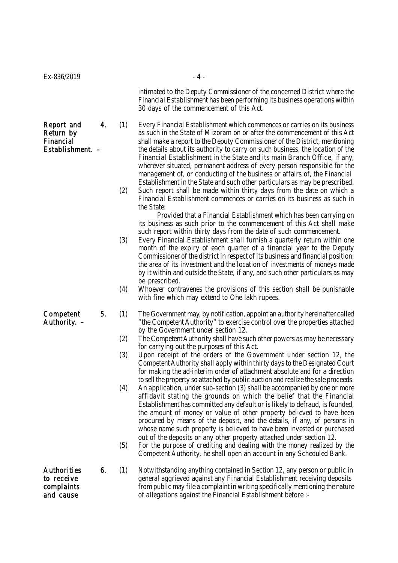intimated to the Deputy Commissioner of the concerned District where the Financial Establishment has been performing its business operations within 30 days of the commencement of this Act.

Report and 4. (1) Every Financial Establishment which commences or carries on its business Return by as such in the State of Mizoram on or after the commencement of this Act Financial shall make a report to the Deputy Commissioner of the District, mentioning Establishment. – the details about its authority to carry on such business, the location of the Financial Establishment in the State and its main Branch Office, if any, wherever situated, permanent address of every person responsible for the management of, or conducting of the business or affairs of, the Financial Establishment in the State and such other particulars as may be prescribed.

> (2) Such report shall be made within thirty days from the date on which a Financial Establishment commences or carries on its business as such in the State:

Provided that a Financial Establishment which has been carrying on its business as such prior to the commencement of this Act shall make such report within thirty days from the date of such commencement.

- (3) Every Financial Establishment shall furnish a quarterly return within one month of the expiry of each quarter of a financial year to the Deputy Commissioner of the district in respect of its business and financial position, the area of its investment and the location of investments of moneys made by it within and outside the State, if any, and such other particulars as may be prescribed.
- (4) Whoever contravenes the provisions of this section shall be punishable with fine which may extend to One lakh rupees.
- Competent 5. (1) The Government may, by notification, appoint an authority hereinafter called Authority.  $-$  "the Competent Authority" to exercise control over the properties attached by the Government under section 12.
	- (2) The Competent Authority shall have such other powers as may be necessary for carrying out the purposes of this Act.
	- (3) Upon receipt of the orders of the Government under section 12, the Competent Authority shall apply within thirty days to the Designated Court for making the ad-interim order of attachment absolute and for a direction to sell the property so attached by public auction and realize the sale proceeds.
	- (4) An application, under sub-section (3) shall be accompanied by one or more affidavit stating the grounds on which the belief that the Financial Establishment has committed any default or is likely to defraud, is founded, the amount of money or value of other property believed to have been procured by means of the deposit, and the details, if any, of persons in whose name such property is believed to have been invested or purchased out of the deposits or any other property attached under section 12.
	- (5) For the purpose of crediting and dealing with the money realized by the Competent Authority, he shall open an account in any Scheduled Bank.
- Authorities 6. (1) Notwithstanding anything contained in Section 12, any person or public in to receive **general aggrieved against any Financial Establishment receiving deposits** complaints from public may file a complaint in writing specifically mentioning the nature and cause of allegations against the Financial Establishment before :-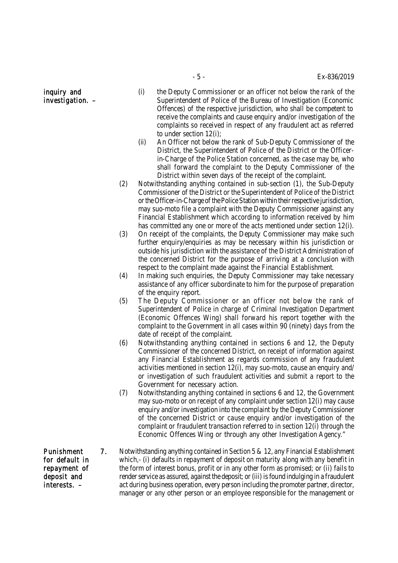- **inquiry and** (i) the Deputy Commissioner or an officer not below the rank of the investigation.  $-$  Superintendent of Police of the Bureau of Investigation (Economic Offences) of the respective jurisdiction, who shall be competent to receive the complaints and cause enquiry and/or investigation of the complaints so received in respect of any fraudulent act as referred to under section 12(i);
	- (ii) An Officer not below the rank of Sub-Deputy Commissioner of the District, the Superintendent of Police of the District or the Officerin-Charge of the Police Station concerned, as the case may be, who shall forward the complaint to the Deputy Commissioner of the District within seven days of the receipt of the complaint.
	- (2) Notwithstanding anything contained in sub-section (1), the Sub-Deputy Commissioner of the District or the Superintendent of Police of the District or the Officer-in-Charge of the Police Station within their respective jurisdiction, may suo-moto file a complaint with the Deputy Commissioner against any Financial Establishment which according to information received by him has committed any one or more of the acts mentioned under section 12(i).
	- (3) On receipt of the complaints, the Deputy Commissioner may make such further enquiry/enquiries as may be necessary within his jurisdiction or outside his jurisdiction with the assistance of the District Administration of the concerned District for the purpose of arriving at a conclusion with respect to the complaint made against the Financial Establishment.
	- (4) In making such enquiries, the Deputy Commissioner may take necessary assistance of any officer subordinate to him for the purpose of preparation of the enquiry report.
	- (5) The Deputy Commissioner or an officer not below the rank of Superintendent of Police in charge of Criminal Investigation Department (Economic Offences Wing) shall forward his report together with the complaint to the Government in all cases within 90 (ninety) days from the date of receipt of the complaint.
	- (6) Notwithstanding anything contained in sections 6 and 12, the Deputy Commissioner of the concerned District, on receipt of information against any Financial Establishment as regards commission of any fraudulent activities mentioned in section 12(i), may suo-moto, cause an enquiry and/ or investigation of such fraudulent activities and submit a report to the Government for necessary action.
	- (7) Notwithstanding anything contained in sections 6 and 12, the Government may suo-moto or on receipt of any complaint under section 12(i) may cause enquiry and/or investigation into the complaint by the Deputy Commissioner of the concerned District or cause enquiry and/or investigation of the complaint or fraudulent transaction referred to in section 12(i) through the Economic Offences Wing or through any other Investigation Agency."
- Punishment 7. Notwithstanding anything contained in Section 5 & 12, any Financial Establishment for default in which,- (i) defaults in repayment of deposit on maturity along with any benefit in repayment of the form of interest bonus, profit or in any other form as promised; or (ii) fails to deposit and render service as assured, against the deposit; or (iii) is found indulging in a fraudulent interests. – act during business operation, every person including the promoter partner, director, manager or any other person or an employee responsible for the management or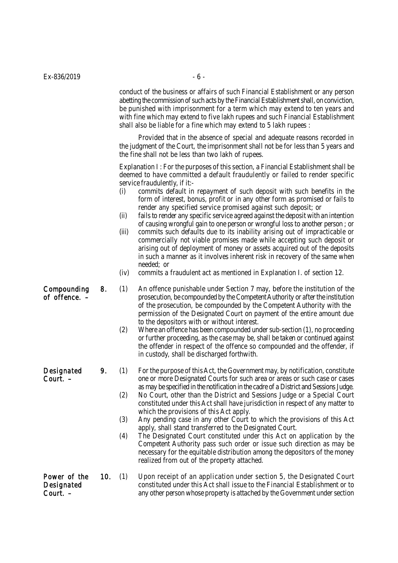| Ex-836/2019                            |     | $-6 -$<br>conduct of the business or affairs of such Financial Establishment or any person<br>abetting the commission of such acts by the Financial Establishment shall, on conviction,<br>be punished with imprisonment for a term which may extend to ten years and<br>with fine which may extend to five lakh rupees and such Financial Establishment<br>shall also be liable for a fine which may extend to 5 lakh rupees : |                                                                                                                                                                                                                                                                                                                                                                                                                                                                                                                                                                                                                                                                                                                                                                                                                                                                                                                                                                                                                  |  |  |  |
|----------------------------------------|-----|---------------------------------------------------------------------------------------------------------------------------------------------------------------------------------------------------------------------------------------------------------------------------------------------------------------------------------------------------------------------------------------------------------------------------------|------------------------------------------------------------------------------------------------------------------------------------------------------------------------------------------------------------------------------------------------------------------------------------------------------------------------------------------------------------------------------------------------------------------------------------------------------------------------------------------------------------------------------------------------------------------------------------------------------------------------------------------------------------------------------------------------------------------------------------------------------------------------------------------------------------------------------------------------------------------------------------------------------------------------------------------------------------------------------------------------------------------|--|--|--|
|                                        |     |                                                                                                                                                                                                                                                                                                                                                                                                                                 |                                                                                                                                                                                                                                                                                                                                                                                                                                                                                                                                                                                                                                                                                                                                                                                                                                                                                                                                                                                                                  |  |  |  |
|                                        |     | Provided that in the absence of special and adequate reasons recorded in<br>the judgment of the Court, the imprisonment shall not be for less than 5 years and<br>the fine shall not be less than two lakh of rupees.                                                                                                                                                                                                           |                                                                                                                                                                                                                                                                                                                                                                                                                                                                                                                                                                                                                                                                                                                                                                                                                                                                                                                                                                                                                  |  |  |  |
|                                        |     | (i)<br>(ii)<br>(iii)<br>(iv)                                                                                                                                                                                                                                                                                                                                                                                                    | Explanation I: For the purposes of this section, a Financial Establishment shall be<br>deemed to have committed a default fraudulently or failed to render specific<br>service fraudulently, if it:-<br>commits default in repayment of such deposit with such benefits in the<br>form of interest, bonus, profit or in any other form as promised or fails to<br>render any specified service promised against such deposit; or<br>fails to render any specific service agreed against the deposit with an intention<br>of causing wrongful gain to one person or wrongful loss to another person; or<br>commits such defaults due to its inability arising out of impracticable or<br>commercially not viable promises made while accepting such deposit or<br>arising out of deployment of money or assets acquired out of the deposits<br>in such a manner as it involves inherent risk in recovery of the same when<br>needed; or<br>commits a fraudulent act as mentioned in Explanation I. of section 12. |  |  |  |
| Compounding<br>of offence. -           | 8.  | (1)<br>(2)                                                                                                                                                                                                                                                                                                                                                                                                                      | An offence punishable under Section 7 may, before the institution of the<br>prosecution, be compounded by the Competent Authority or after the institution<br>of the prosecution, be compounded by the Competent Authority with the<br>permission of the Designated Court on payment of the entire amount due<br>to the depositors with or without interest.<br>Where an offence has been compounded under sub-section (1), no proceeding<br>or further proceeding, as the case may be, shall be taken or continued against<br>the offender in respect of the offence so compounded and the offender, if<br>in custody, shall be discharged forthwith.                                                                                                                                                                                                                                                                                                                                                           |  |  |  |
| Designated<br>Court. -                 |     | (1)<br>(2)<br>(3)<br>(4)                                                                                                                                                                                                                                                                                                                                                                                                        | For the purpose of this Act, the Government may, by notification, constitute<br>one or more Designated Courts for such area or areas or such case or cases<br>as may be specified in the notification in the cadre of a District and Sessions Judge.<br>No Court, other than the District and Sessions Judge or a Special Court<br>constituted under this Act shall have jurisdiction in respect of any matter to<br>which the provisions of this Act apply.<br>Any pending case in any other Court to which the provisions of this Act<br>apply, shall stand transferred to the Designated Court.<br>The Designated Court constituted under this Act on application by the<br>Competent Authority pass such order or issue such direction as may be<br>necessary for the equitable distribution among the depositors of the money<br>realized from out of the property attached.                                                                                                                                |  |  |  |
| Power of the<br>Designated<br>Court. - | 10. | (1)                                                                                                                                                                                                                                                                                                                                                                                                                             | Upon receipt of an application under section 5, the Designated Court<br>constituted under this Act shall issue to the Financial Establishment or to<br>any other person whose property is attached by the Government under section                                                                                                                                                                                                                                                                                                                                                                                                                                                                                                                                                                                                                                                                                                                                                                               |  |  |  |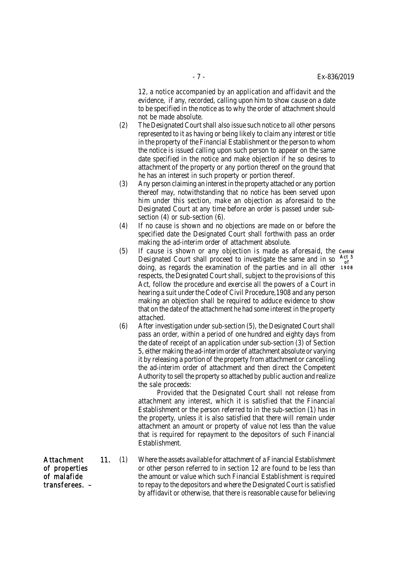12, a notice accompanied by an application and affidavit and the evidence, if any, recorded, calling upon him to show cause on a date to be specified in the notice as to why the order of attachment should not be made absolute.

- (2) The Designated Court shall also issue such notice to all other persons represented to it as having or being likely to claim any interest or title in the property of the Financial Establishment or the person to whom the notice is issued calling upon such person to appear on the same date specified in the notice and make objection if he so desires to attachment of the property or any portion thereof on the ground that he has an interest in such property or portion thereof.
- (3) Any person claiming an interest in the property attached or any portion thereof may, notwithstanding that no notice has been served upon him under this section, make an objection as aforesaid to the Designated Court at any time before an order is passed under subsection (4) or sub-section (6).
- (4) If no cause is shown and no objections are made on or before the specified date the Designated Court shall forthwith pass an order making the ad-interim order of attachment absolute.
- (5) If cause is shown or any objection is made as aforesaid, the Central Designated Court shall proceed to investigate the same and in so Besignated Goart share proceed to investigate the same and in so the doing, as regards the examination of the parties and in all other 190 respects, the Designated Court shall, subject to the provisions of this Act, follow the procedure and exercise all the powers of a Court in hearing a suit under the Code of Civil Procedure,1908 and any person making an objection shall be required to adduce evidence to show that on the date of the attachment he had some interest in the property attached. Act 5 1908
- (6) After investigation under sub-section (5), the Designated Court shall pass an order, within a period of one hundred and eighty days from the date of receipt of an application under sub-section (3) of Section 5, either making the ad-interim order of attachment absolute or varying it by releasing a portion of the property from attachment or cancelling the ad-interim order of attachment and then direct the Competent Authority to sell the property so attached by public auction and realize the sale proceeds:

Provided that the Designated Court shall not release from attachment any interest, which it is satisfied that the Financial Establishment or the person referred to in the sub-section (1) has in the property, unless it is also satisfied that there will remain under attachment an amount or property of value not less than the value that is required for repayment to the depositors of such Financial Establishment.

- Attachment 11. (1) Where the assets available for attachment of a Financial Establishment of properties or other person referred to in section 12 are found to be less than<br>of malafide the amount or value which such Financial Establishment is required the amount or value which such Financial Establishment is required transferees. – to repay to the depositors and where the Designated Court is satisfied by affidavit or otherwise, that there is reasonable cause for believing
-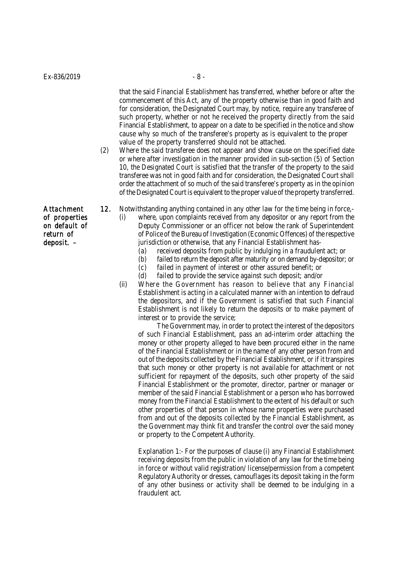that the said Financial Establishment has transferred, whether before or after the commencement of this Act, any of the property otherwise than in good faith and for consideration, the Designated Court may, by notice, require any transferee of such property, whether or not he received the property directly from the said Financial Establishment, to appear on a date to be specified in the notice and show cause why so much of the transferee's property as is equivalent to the proper value of the property transferred should not be attached.

- (2) Where the said transferee does not appear and show cause on the specified date or where after investigation in the manner provided in sub-section (5) of Section 10, the Designated Court is satisfied that the transfer of the property to the said transferee was not in good faith and for consideration, the Designated Court shall order the attachment of so much of the said transferee's property as in the opinion of the Designated Court is equivalent to the proper value of the property transferred.
- Attachment 12. Notwithstanding anything contained in any other law for the time being in force,-

of properties (i) where, upon complaints received from any depositor or any report from the on default of Deputy Commissioner or an officer not below the rank of Superintendent return of of Police of the Bureau of Investigation (Economic Offences) of the respective

- deposit.  $-$  jurisdiction or otherwise, that any Financial Establishment has-(a) received deposits from public by indulging in a fraudulent act; or
	- (b) failed to return the deposit after maturity or on demand by-depositor; or
	- (c) failed in payment of interest or other assured benefit; or
	- (d) failed to provide the service against such deposit; and/or
	- (ii) Where the Government has reason to believe that any Financial Establishment is acting in a calculated manner with an intention to defraud the depositors, and if the Government is satisfied that such Financial Establishment is not likely to return the deposits or to make payment of interest or to provide the service;

The Government may, in order to protect the interest of the depositors of such Financial Establishment, pass an ad-interim order attaching the money or other property alleged to have been procured either in the name of the Financial Establishment or in the name of any other person from and out of the deposits collected by the Financial Establishment, or if it transpires that such money or other property is not available for attachment or not sufficient for repayment of the deposits, such other property of the said Financial Establishment or the promoter, director, partner or manager or member of the said Financial Establishment or a person who has borrowed money from the Financial Establishment to the extent of his default or such other properties of that person in whose name properties were purchased from and out of the deposits collected by the Financial Establishment, as the Government may think fit and transfer the control over the said money or property to the Competent Authority.

Explanation 1:- For the purposes of clause (i) any Financial Establishment receiving deposits from the public in violation of any law for the time being in force or without valid registration/ license/permission from a competent Regulatory Authority or dresses, camouflages its deposit taking in the form of any other business or activity shall be deemed to be indulging in a fraudulent act.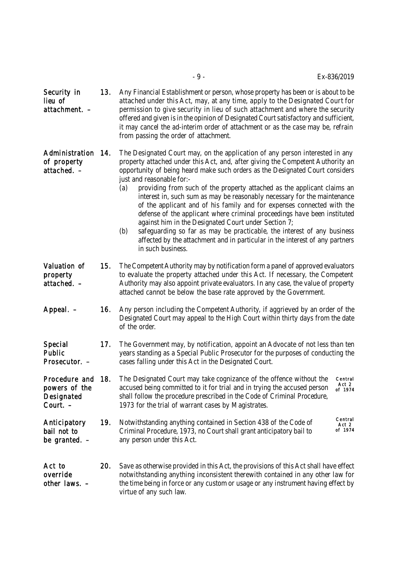| Security in<br>lieu of<br>attachment. –                  | 13. | Any Financial Establishment or person, whose property has been or is about to be<br>attached under this Act, may, at any time, apply to the Designated Court for<br>permission to give security in lieu of such attachment and where the security<br>offered and given is in the opinion of Designated Court satisfactory and sufficient,<br>it may cancel the ad-interim order of attachment or as the case may be, refrain<br>from passing the order of attachment.                                                                                                                                                                                                                                                                                                                                                                           |  |  |
|----------------------------------------------------------|-----|-------------------------------------------------------------------------------------------------------------------------------------------------------------------------------------------------------------------------------------------------------------------------------------------------------------------------------------------------------------------------------------------------------------------------------------------------------------------------------------------------------------------------------------------------------------------------------------------------------------------------------------------------------------------------------------------------------------------------------------------------------------------------------------------------------------------------------------------------|--|--|
| Administration<br>of property<br>attached. –             | 14. | The Designated Court may, on the application of any person interested in any<br>property attached under this Act, and, after giving the Competent Authority an<br>opportunity of being heard make such orders as the Designated Court considers<br>just and reasonable for:-<br>providing from such of the property attached as the applicant claims an<br>(a)<br>interest in, such sum as may be reasonably necessary for the maintenance<br>of the applicant and of his family and for expenses connected with the<br>defense of the applicant where criminal proceedings have been instituted<br>against him in the Designated Court under Section 7;<br>safeguarding so far as may be practicable, the interest of any business<br>(b)<br>affected by the attachment and in particular in the interest of any partners<br>in such business. |  |  |
| Valuation of<br>property<br>attached. –                  | 15. | The Competent Authority may by notification form a panel of approved evaluators<br>to evaluate the property attached under this Act. If necessary, the Competent<br>Authority may also appoint private evaluators. In any case, the value of property<br>attached cannot be below the base rate approved by the Government.                                                                                                                                                                                                                                                                                                                                                                                                                                                                                                                     |  |  |
| Appeal. –                                                | 16. | Any person including the Competent Authority, if aggrieved by an order of the<br>Designated Court may appeal to the High Court within thirty days from the date<br>of the order.                                                                                                                                                                                                                                                                                                                                                                                                                                                                                                                                                                                                                                                                |  |  |
| Special<br>Public<br>Prosecutor. -                       | 17. | The Government may, by notification, appoint an Advocate of not less than ten<br>years standing as a Special Public Prosecutor for the purposes of conducting the<br>cases falling under this Act in the Designated Court.                                                                                                                                                                                                                                                                                                                                                                                                                                                                                                                                                                                                                      |  |  |
| Procedure and<br>powers of the<br>Designated<br>Court. - | 18. | The Designated Court may take cognizance of the offence without the<br>Central<br>Act 2<br>accused being committed to it for trial and in trying the accused person<br>of 1974<br>shall follow the procedure prescribed in the Code of Criminal Procedure,<br>1973 for the trial of warrant cases by Magistrates.                                                                                                                                                                                                                                                                                                                                                                                                                                                                                                                               |  |  |
| Anticipatory<br>bail not to<br>be granted. –             | 19. | Central<br>Notwithstanding anything contained in Section 438 of the Code of<br>Act 2<br>of 1974<br>Criminal Procedure, 1973, no Court shall grant anticipatory bail to<br>any person under this Act.                                                                                                                                                                                                                                                                                                                                                                                                                                                                                                                                                                                                                                            |  |  |
| Act to<br>override                                       | 20. | Save as otherwise provided in this Act, the provisions of this Act shall have effect<br>notwithstanding anything inconsistent therewith contained in any other law for                                                                                                                                                                                                                                                                                                                                                                                                                                                                                                                                                                                                                                                                          |  |  |

other laws.  $-$  the time being in force or any custom or usage or any instrument having effect by virtue of any such law.